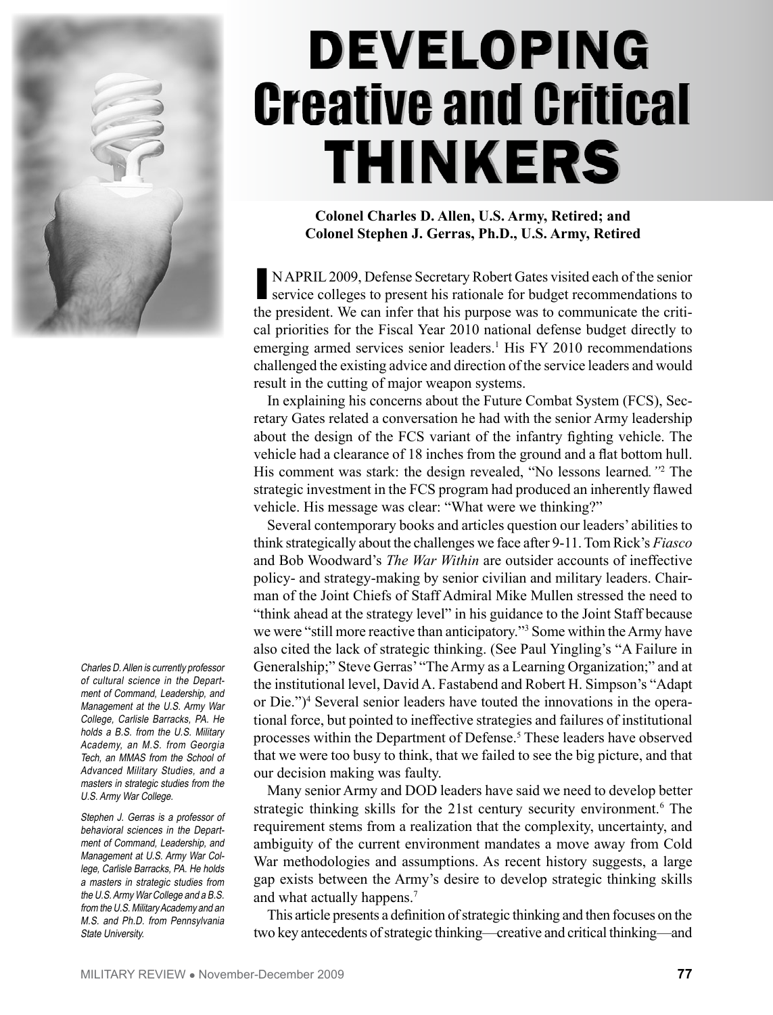

Charles D. Allen is currently professor of cultural science in the Department of Command, Leadership, and Management at the U.S. Army War College, Carlisle Barracks, PA. He holds a B.S. from the U.S. Military Academy, an M.S. from Georgia Tech, an MMAS from the School of Advanced Military Studies, and a masters in strategic studies from the U.S. Army War College.

Stephen J. Gerras is a professor of behavioral sciences in the Department of Command, Leadership, and Management at U.S. Army War College, Carlisle Barracks, PA. He holds a masters in strategic studies from the U.S. Army War College and a B.S. from the U.S. Military Academy and an M.S. and Ph.D. from Pennsylvania State University.

# **DEVELOPING Creative and Critical THINKERS**

**Colonel Charles D. Allen, U.S. Army, Retired; and Colonel Stephen J. Gerras, Ph.D., U.S. Army, Retired**

NAPRIL 2009, Defense Secretary Robert Gates visited each of the senior service colleges to present his rationale for budget recommendations to the president. We can infer that his purpose was to communicate the critical priorities for the Fiscal Year 2010 national defense budget directly to emerging armed services senior leaders.<sup>1</sup> His FY 2010 recommendations challenged the existing advice and direction of the service leaders and would result in the cutting of major weapon systems.

In explaining his concerns about the Future Combat System (FCS), Secretary Gates related a conversation he had with the senior Army leadership about the design of the FCS variant of the infantry fighting vehicle. The vehicle had a clearance of 18 inches from the ground and a flat bottom hull. His comment was stark: the design revealed, "No lessons learned."<sup>2</sup> The strategic investment in the FCS program had produced an inherently flawed vehicle. His message was clear: "What were we thinking?"

Several contemporary books and articles question our leaders' abilities to think strategically about the challenges we face after 9-11. Tom Rick's *Fiasco* and Bob Woodward's *The War Within* are outsider accounts of ineffective policy- and strategy-making by senior civilian and military leaders. Chairman of the Joint Chiefs of Staff Admiral Mike Mullen stressed the need to "think ahead at the strategy level" in his guidance to the Joint Staff because we were "still more reactive than anticipatory."<sup>3</sup> Some within the Army have also cited the lack of strategic thinking. (See Paul Yingling's "A Failure in Generalship;" Steve Gerras' "The Army as a Learning Organization;" and at the institutional level, David A. Fastabend and Robert H. Simpson's "Adapt or Die.")4 Several senior leaders have touted the innovations in the operational force, but pointed to ineffective strategies and failures of institutional processes within the Department of Defense.<sup>5</sup> These leaders have observed that we were too busy to think, that we failed to see the big picture, and that our decision making was faulty.

Many senior Army and DOD leaders have said we need to develop better strategic thinking skills for the 21st century security environment.<sup>6</sup> The requirement stems from a realization that the complexity, uncertainty, and ambiguity of the current environment mandates a move away from Cold War methodologies and assumptions. As recent history suggests, a large gap exists between the Army's desire to develop strategic thinking skills and what actually happens.7

This article presents a definition of strategic thinking and then focuses on the two key antecedents of strategic thinking—creative and critical thinking—and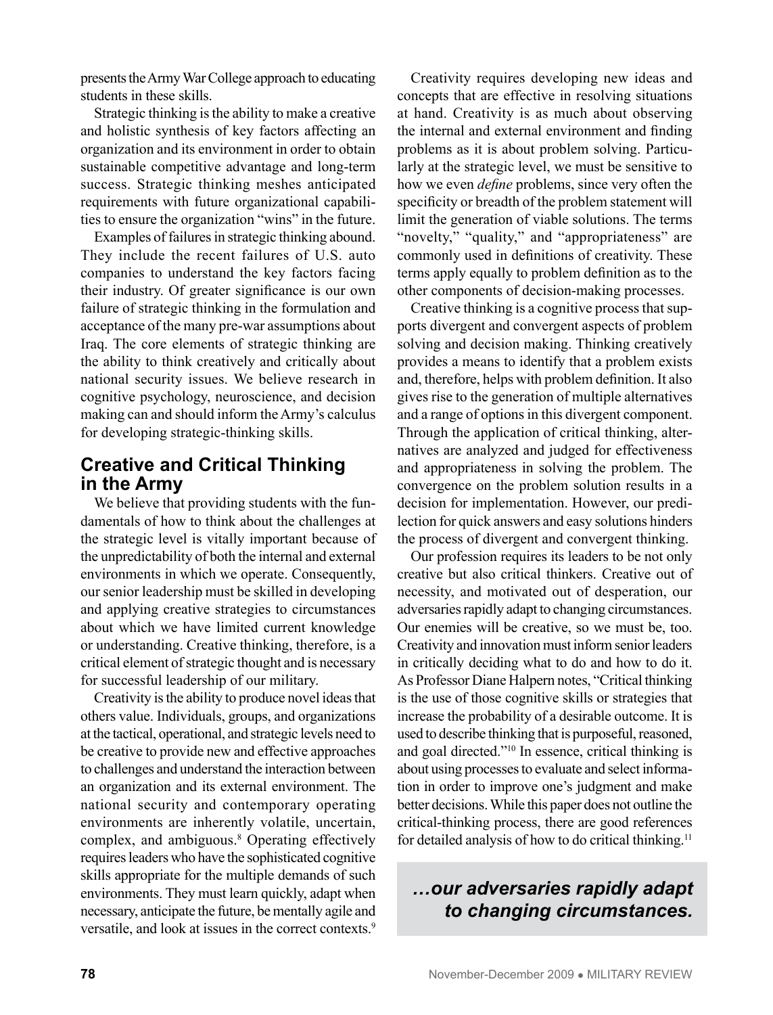presents the Army War College approach to educating students in these skills.

Strategic thinking is the ability to make a creative and holistic synthesis of key factors affecting an organization and its environment in order to obtain sustainable competitive advantage and long-term success. Strategic thinking meshes anticipated requirements with future organizational capabilities to ensure the organization "wins" in the future.

Examples of failures in strategic thinking abound. They include the recent failures of U.S. auto companies to understand the key factors facing their industry. Of greater significance is our own failure of strategic thinking in the formulation and acceptance of the many pre-war assumptions about Iraq. The core elements of strategic thinking are the ability to think creatively and critically about national security issues. We believe research in cognitive psychology, neuroscience, and decision making can and should inform the Army's calculus for developing strategic-thinking skills.

### **Creative and Critical Thinking in the Army**

We believe that providing students with the fundamentals of how to think about the challenges at the strategic level is vitally important because of the unpredictability of both the internal and external environments in which we operate. Consequently, our senior leadership must be skilled in developing and applying creative strategies to circumstances about which we have limited current knowledge or understanding. Creative thinking, therefore, is a critical element of strategic thought and is necessary for successful leadership of our military.

Creativity is the ability to produce novel ideas that others value. Individuals, groups, and organizations at the tactical, operational, and strategic levels need to be creative to provide new and effective approaches to challenges and understand the interaction between an organization and its external environment. The national security and contemporary operating environments are inherently volatile, uncertain, complex, and ambiguous.8 Operating effectively requires leaders who have the sophisticated cognitive skills appropriate for the multiple demands of such environments. They must learn quickly, adapt when necessary, anticipate the future, be mentally agile and versatile, and look at issues in the correct contexts.<sup>9</sup>

Creativity requires developing new ideas and concepts that are effective in resolving situations at hand. Creativity is as much about observing the internal and external environment and finding problems as it is about problem solving. Particularly at the strategic level, we must be sensitive to how we even *define* problems, since very often the specificity or breadth of the problem statement will limit the generation of viable solutions. The terms "novelty," "quality," and "appropriateness" are commonly used in definitions of creativity. These terms apply equally to problem definition as to the other components of decision-making processes.

Creative thinking is a cognitive process that supports divergent and convergent aspects of problem solving and decision making. Thinking creatively provides a means to identify that a problem exists and, therefore, helps with problem definition. It also gives rise to the generation of multiple alternatives and a range of options in this divergent component. Through the application of critical thinking, alternatives are analyzed and judged for effectiveness and appropriateness in solving the problem. The convergence on the problem solution results in a decision for implementation. However, our predilection for quick answers and easy solutions hinders the process of divergent and convergent thinking.

Our profession requires its leaders to be not only creative but also critical thinkers. Creative out of necessity, and motivated out of desperation, our adversaries rapidly adapt to changing circumstances. Our enemies will be creative, so we must be, too. Creativity and innovation must inform senior leaders in critically deciding what to do and how to do it. As Professor Diane Halpern notes, "Critical thinking is the use of those cognitive skills or strategies that increase the probability of a desirable outcome. It is used to describe thinking that is purposeful, reasoned, and goal directed."10 In essence, critical thinking is about using processes to evaluate and select information in order to improve one's judgment and make better decisions. While this paper does not outline the critical-thinking process, there are good references for detailed analysis of how to do critical thinking.11

# *…our adversaries rapidly adapt to changing circumstances.*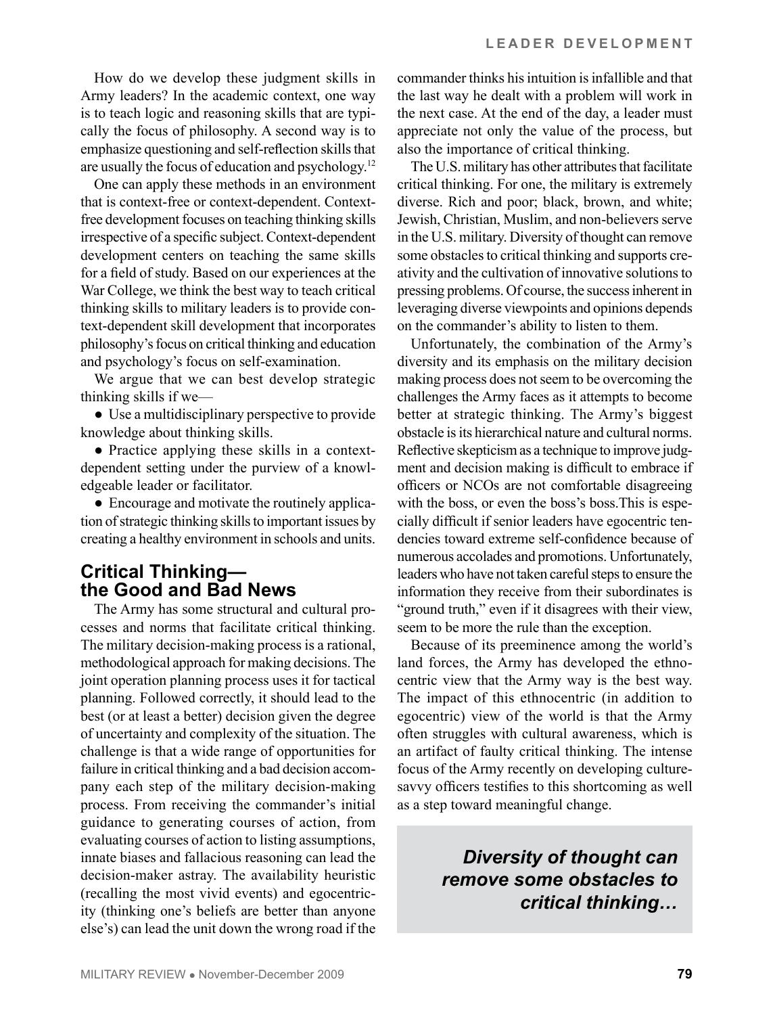How do we develop these judgment skills in Army leaders? In the academic context, one way is to teach logic and reasoning skills that are typically the focus of philosophy. A second way is to emphasize questioning and self-reflection skills that are usually the focus of education and psychology.12

One can apply these methods in an environment that is context-free or context-dependent. Contextfree development focuses on teaching thinking skills irrespective of a specific subject. Context-dependent development centers on teaching the same skills for a field of study. Based on our experiences at the War College, we think the best way to teach critical thinking skills to military leaders is to provide context-dependent skill development that incorporates philosophy's focus on critical thinking and education and psychology's focus on self-examination.

We argue that we can best develop strategic thinking skills if we—

● Use a multidisciplinary perspective to provide knowledge about thinking skills.

● Practice applying these skills in a contextdependent setting under the purview of a knowledgeable leader or facilitator.

● Encourage and motivate the routinely application of strategic thinking skills to important issues by creating a healthy environment in schools and units.

#### **Critical Thinking the Good and Bad News**

The Army has some structural and cultural processes and norms that facilitate critical thinking. The military decision-making process is a rational, methodological approach for making decisions. The joint operation planning process uses it for tactical planning. Followed correctly, it should lead to the best (or at least a better) decision given the degree of uncertainty and complexity of the situation. The challenge is that a wide range of opportunities for failure in critical thinking and a bad decision accompany each step of the military decision-making process. From receiving the commander's initial guidance to generating courses of action, from evaluating courses of action to listing assumptions, innate biases and fallacious reasoning can lead the decision-maker astray. The availability heuristic (recalling the most vivid events) and egocentricity (thinking one's beliefs are better than anyone else's) can lead the unit down the wrong road if the commander thinks his intuition is infallible and that the last way he dealt with a problem will work in the next case. At the end of the day, a leader must appreciate not only the value of the process, but also the importance of critical thinking.

The U.S. military has other attributes that facilitate critical thinking. For one, the military is extremely diverse. Rich and poor; black, brown, and white; Jewish, Christian, Muslim, and non-believers serve in the U.S. military. Diversity of thought can remove some obstacles to critical thinking and supports creativity and the cultivation of innovative solutions to pressing problems. Of course, the success inherent in leveraging diverse viewpoints and opinions depends on the commander's ability to listen to them.

Unfortunately, the combination of the Army's diversity and its emphasis on the military decision making process does not seem to be overcoming the challenges the Army faces as it attempts to become better at strategic thinking. The Army's biggest obstacle is its hierarchical nature and cultural norms. Reflective skepticism as a technique to improve judgment and decision making is difficult to embrace if officers or NCOs are not comfortable disagreeing with the boss, or even the boss's boss.This is especially difficult if senior leaders have egocentric tendencies toward extreme self-confidence because of numerous accolades and promotions. Unfortunately, leaders who have not taken careful steps to ensure the information they receive from their subordinates is "ground truth," even if it disagrees with their view, seem to be more the rule than the exception.

Because of its preeminence among the world's land forces, the Army has developed the ethnocentric view that the Army way is the best way. The impact of this ethnocentric (in addition to egocentric) view of the world is that the Army often struggles with cultural awareness, which is an artifact of faulty critical thinking. The intense focus of the Army recently on developing culturesavvy officers testifies to this shortcoming as well as a step toward meaningful change.

> *Diversity of thought can remove some obstacles to critical thinking…*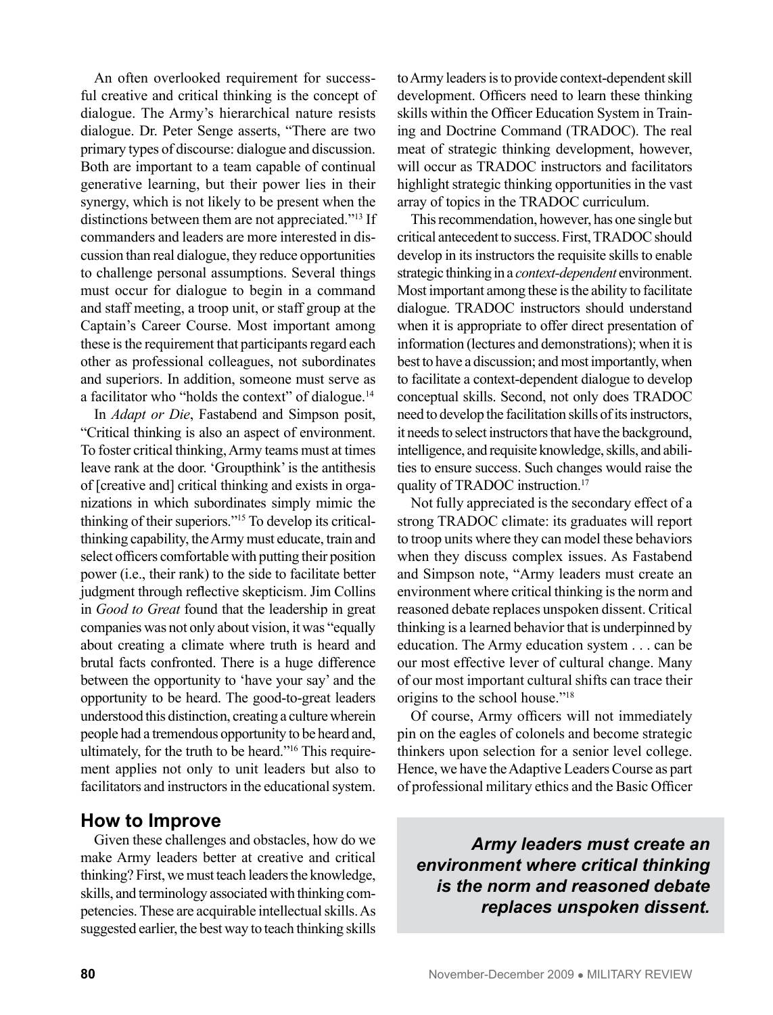An often overlooked requirement for successful creative and critical thinking is the concept of dialogue. The Army's hierarchical nature resists dialogue. Dr. Peter Senge asserts, "There are two primary types of discourse: dialogue and discussion. Both are important to a team capable of continual generative learning, but their power lies in their synergy, which is not likely to be present when the distinctions between them are not appreciated."13 If commanders and leaders are more interested in discussion than real dialogue, they reduce opportunities to challenge personal assumptions. Several things must occur for dialogue to begin in a command and staff meeting, a troop unit, or staff group at the Captain's Career Course. Most important among these is the requirement that participants regard each other as professional colleagues, not subordinates and superiors. In addition, someone must serve as a facilitator who "holds the context" of dialogue.14

In *Adapt or Die*, Fastabend and Simpson posit, "Critical thinking is also an aspect of environment. To foster critical thinking, Army teams must at times leave rank at the door. 'Groupthink' is the antithesis of [creative and] critical thinking and exists in organizations in which subordinates simply mimic the thinking of their superiors."15 To develop its criticalthinking capability, the Army must educate, train and select officers comfortable with putting their position power (i.e., their rank) to the side to facilitate better judgment through reflective skepticism. Jim Collins in *Good to Great* found that the leadership in great companies was not only about vision, it was "equally about creating a climate where truth is heard and brutal facts confronted. There is a huge difference between the opportunity to 'have your say' and the opportunity to be heard. The good-to-great leaders understood this distinction, creating a culture wherein people had a tremendous opportunity to be heard and, ultimately, for the truth to be heard."16 This requirement applies not only to unit leaders but also to facilitators and instructors in the educational system.

#### **How to Improve**

Given these challenges and obstacles, how do we make Army leaders better at creative and critical thinking? First, we must teach leaders the knowledge, skills, and terminology associated with thinking competencies. These are acquirable intellectual skills. As suggested earlier, the best way to teach thinking skills to Army leaders is to provide context-dependent skill development. Officers need to learn these thinking skills within the Officer Education System in Training and Doctrine Command (TRADOC). The real meat of strategic thinking development, however, will occur as TRADOC instructors and facilitators highlight strategic thinking opportunities in the vast array of topics in the TRADOC curriculum.

This recommendation, however, has one single but critical antecedent to success. First, TRADOC should develop in its instructors the requisite skills to enable strategic thinking in a *context-dependent* environment. Most important among these is the ability to facilitate dialogue. TRADOC instructors should understand when it is appropriate to offer direct presentation of information (lectures and demonstrations); when it is best to have a discussion; and most importantly, when to facilitate a context-dependent dialogue to develop conceptual skills. Second, not only does TRADOC need to develop the facilitation skills of its instructors, it needs to select instructors that have the background, intelligence, and requisite knowledge, skills, and abilities to ensure success. Such changes would raise the quality of TRADOC instruction.<sup>17</sup>

Not fully appreciated is the secondary effect of a strong TRADOC climate: its graduates will report to troop units where they can model these behaviors when they discuss complex issues. As Fastabend and Simpson note, "Army leaders must create an environment where critical thinking is the norm and reasoned debate replaces unspoken dissent. Critical thinking is a learned behavior that is underpinned by education. The Army education system . . . can be our most effective lever of cultural change. Many of our most important cultural shifts can trace their origins to the school house."18

Of course, Army officers will not immediately pin on the eagles of colonels and become strategic thinkers upon selection for a senior level college. Hence, we have the Adaptive Leaders Course as part of professional military ethics and the Basic Officer

*Army leaders must create an environment where critical thinking is the norm and reasoned debate replaces unspoken dissent.*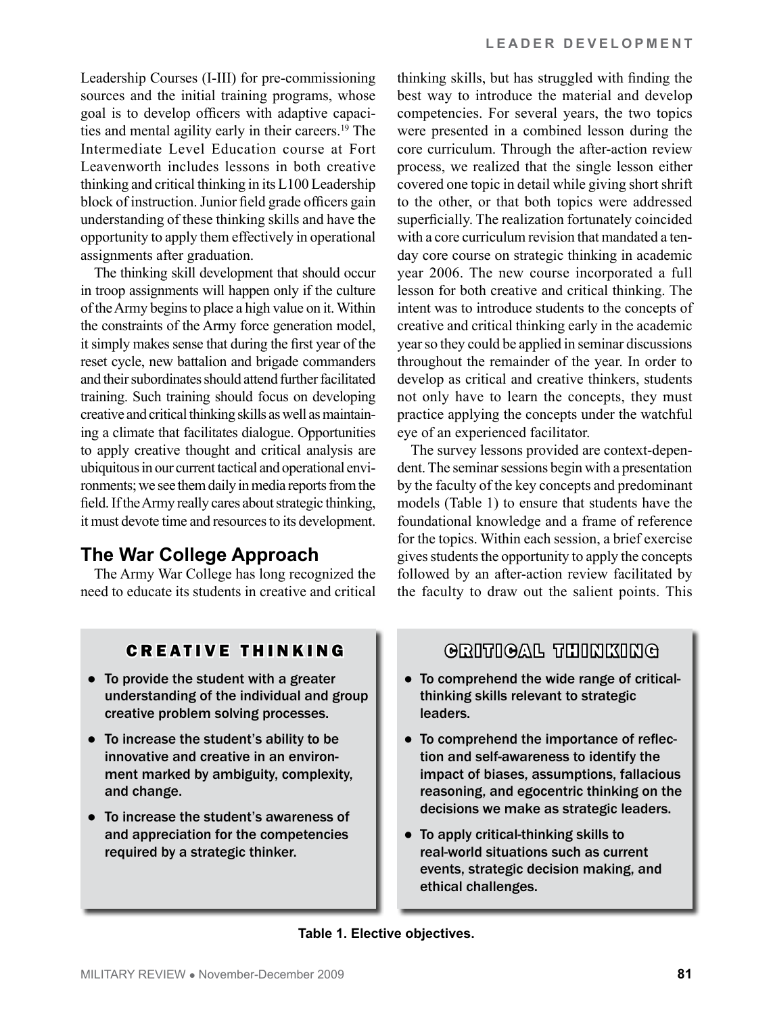Leadership Courses (I-III) for pre-commissioning sources and the initial training programs, whose goal is to develop officers with adaptive capacities and mental agility early in their careers.19 The Intermediate Level Education course at Fort Leavenworth includes lessons in both creative thinking and critical thinking in its L100 Leadership block of instruction. Junior field grade officers gain understanding of these thinking skills and have the opportunity to apply them effectively in operational assignments after graduation.

The thinking skill development that should occur in troop assignments will happen only if the culture of the Army begins to place a high value on it. Within the constraints of the Army force generation model, it simply makes sense that during the first year of the reset cycle, new battalion and brigade commanders and their subordinates should attend further facilitated training. Such training should focus on developing creative and critical thinking skills as well as maintaining a climate that facilitates dialogue. Opportunities to apply creative thought and critical analysis are ubiquitous in our current tactical and operational environments; we see them daily in media reports from the field. If the Army really cares about strategic thinking, it must devote time and resources to its development.

# **The War College Approach**

The Army War College has long recognized the need to educate its students in creative and critical thinking skills, but has struggled with finding the best way to introduce the material and develop competencies. For several years, the two topics were presented in a combined lesson during the core curriculum. Through the after-action review process, we realized that the single lesson either covered one topic in detail while giving short shrift to the other, or that both topics were addressed superficially. The realization fortunately coincided with a core curriculum revision that mandated a tenday core course on strategic thinking in academic year 2006. The new course incorporated a full lesson for both creative and critical thinking. The intent was to introduce students to the concepts of creative and critical thinking early in the academic year so they could be applied in seminar discussions throughout the remainder of the year. In order to develop as critical and creative thinkers, students not only have to learn the concepts, they must practice applying the concepts under the watchful eye of an experienced facilitator.

The survey lessons provided are context-dependent. The seminar sessions begin with a presentation by the faculty of the key concepts and predominant models (Table 1) to ensure that students have the foundational knowledge and a frame of reference for the topics. Within each session, a brief exercise gives students the opportunity to apply the concepts followed by an after-action review facilitated by the faculty to draw out the salient points. This

## CREATIVE THINKING

- To provide the student with a greater understanding of the individual and group creative problem solving processes.
- To increase the student's ability to be innovative and creative in an environment marked by ambiguity, complexity, and change.
- To increase the student's awareness of and appreciation for the competencies required by a strategic thinker.

## GRITIGAL THINKING

- To comprehend the wide range of criticalthinking skills relevant to strategic leaders.
- To comprehend the importance of reflection and self-awareness to identify the impact of biases, assumptions, fallacious reasoning, and egocentric thinking on the decisions we make as strategic leaders.
- To apply critical-thinking skills to real-world situations such as current events, strategic decision making, and ethical challenges.

#### **Table 1. Elective objectives.**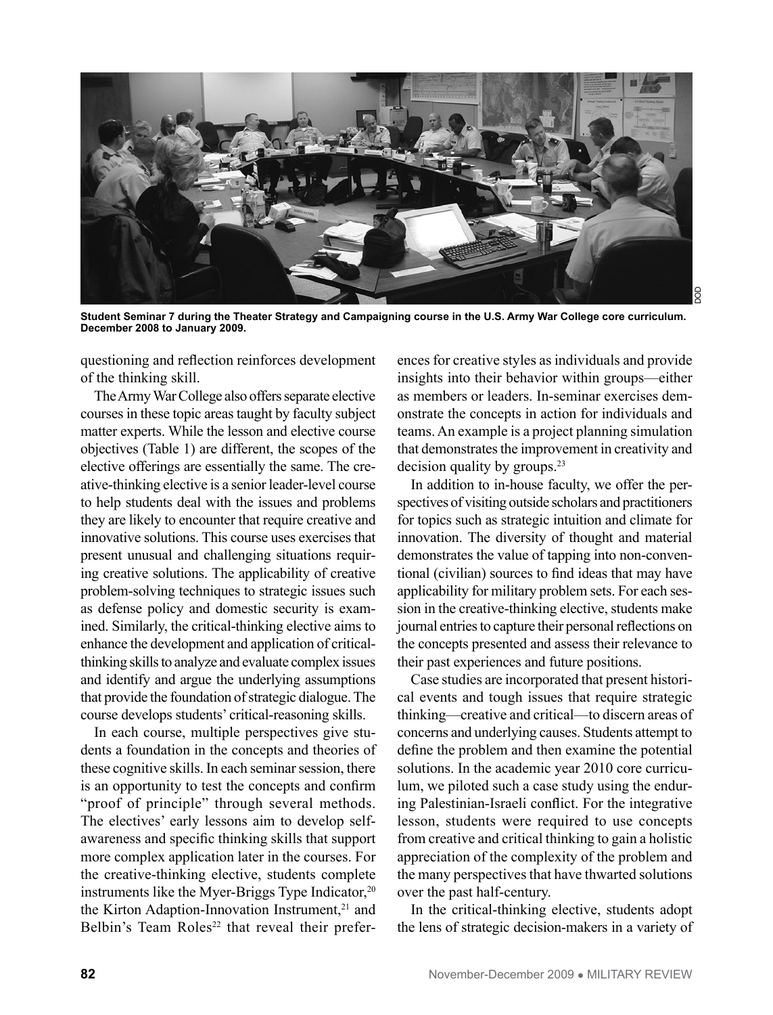

**Student Seminar 7 during the Theater Strategy and Campaigning course in the U.S. Army War College core curriculum. December 2008 to January 2009.**

questioning and reflection reinforces development of the thinking skill.

The Army War College also offers separate elective courses in these topic areas taught by faculty subject matter experts. While the lesson and elective course objectives (Table 1) are different, the scopes of the elective offerings are essentially the same. The creative-thinking elective is a senior leader-level course to help students deal with the issues and problems they are likely to encounter that require creative and innovative solutions. This course uses exercises that present unusual and challenging situations requiring creative solutions. The applicability of creative problem-solving techniques to strategic issues such as defense policy and domestic security is examined. Similarly, the critical-thinking elective aims to enhance the development and application of criticalthinking skills to analyze and evaluate complex issues and identify and argue the underlying assumptions that provide the foundation of strategic dialogue. The course develops students' critical-reasoning skills.

In each course, multiple perspectives give students a foundation in the concepts and theories of these cognitive skills. In each seminar session, there is an opportunity to test the concepts and confirm "proof of principle" through several methods. The electives' early lessons aim to develop selfawareness and specific thinking skills that support more complex application later in the courses. For the creative-thinking elective, students complete instruments like the Myer-Briggs Type Indicator, $20$ the Kirton Adaption-Innovation Instrument,<sup>21</sup> and Belbin's Team  $Roles<sup>22</sup>$  that reveal their preferences for creative styles as individuals and provide insights into their behavior within groups—either as members or leaders. In-seminar exercises demonstrate the concepts in action for individuals and teams. An example is a project planning simulation that demonstrates the improvement in creativity and decision quality by groups.<sup>23</sup>

In addition to in-house faculty, we offer the perspectives of visiting outside scholars and practitioners for topics such as strategic intuition and climate for innovation. The diversity of thought and material demonstrates the value of tapping into non-conventional (civilian) sources to find ideas that may have applicability for military problem sets. For each session in the creative-thinking elective, students make journal entries to capture their personal reflections on the concepts presented and assess their relevance to their past experiences and future positions.

Case studies are incorporated that present historical events and tough issues that require strategic thinking—creative and critical—to discern areas of concerns and underlying causes. Students attempt to define the problem and then examine the potential solutions. In the academic year 2010 core curriculum, we piloted such a case study using the enduring Palestinian-Israeli conflict. For the integrative lesson, students were required to use concepts from creative and critical thinking to gain a holistic appreciation of the complexity of the problem and the many perspectives that have thwarted solutions over the past half-century.

In the critical-thinking elective, students adopt the lens of strategic decision-makers in a variety of